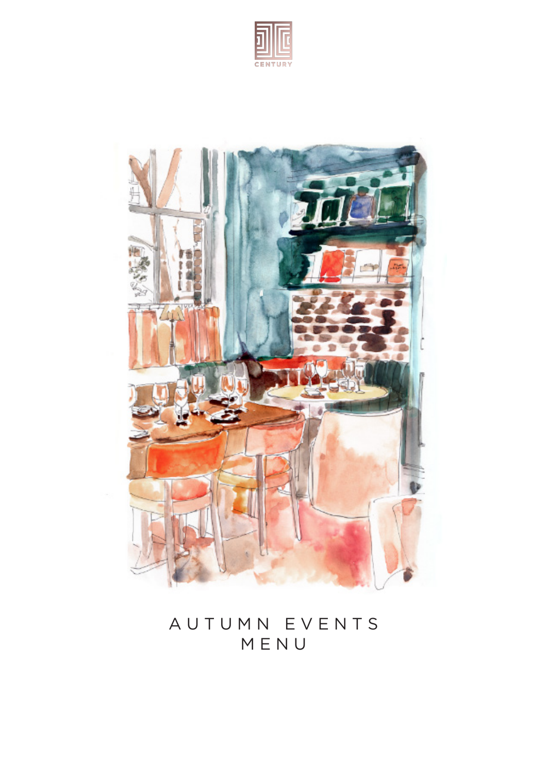



# A U T U M N E V E N T S M E N U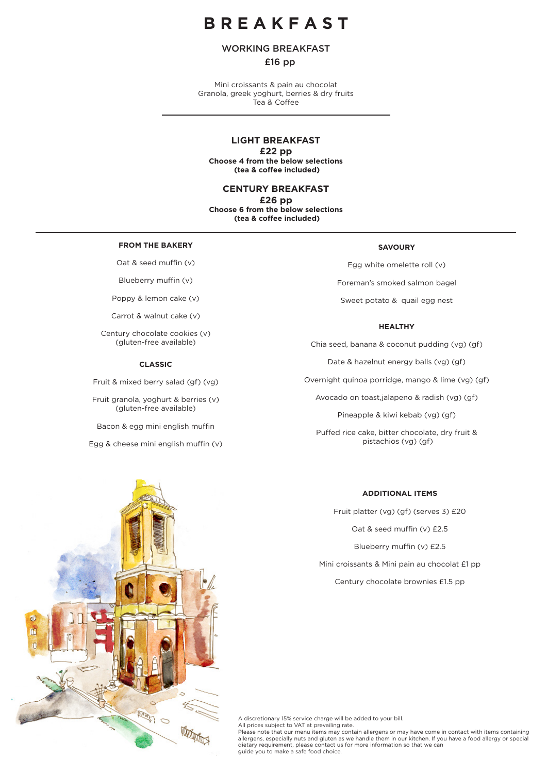# **B R E A K F A S T**

# WORKING BREAKFAST

# £16 pp

Mini croissants & pain au chocolat Granola, greek yoghurt, berries & dry fruits Tea & Coffee

# **LIGHT BREAKFAST**

**£22 pp** 

**Choose 4 from the below selections (tea & coffee included)**

**CENTURY BREAKFAST** 

**£26 pp Choose 6 from the below selections (tea & coffee included)**

#### **FROM THE BAKERY**

Oat & seed muffin (v)

Blueberry muffin (v)

Poppy & lemon cake (v)

Carrot & walnut cake (v)

Century chocolate cookies (v) (gluten-free available)

### **CLASSIC**

Fruit & mixed berry salad (gf) (vg)

Fruit granola, yoghurt & berries (v) (gluten-free available)

Bacon & egg mini english muffin

Egg & cheese mini english muffin (v)

## **SAVOURY**

Egg white omelette roll (v) Foreman's smoked salmon bagel Sweet potato & quail egg nest

# **HEALTHY**

Chia seed, banana & coconut pudding (vg) (gf)

Date & hazelnut energy balls (vg) (gf)

Overnight quinoa porridge, mango & lime (vg) (gf)

Avocado on toast,jalapeno & radish (vg) (gf)

Pineapple & kiwi kebab (vg) (gf)

Puffed rice cake, bitter chocolate, dry fruit & pistachios (vg) (gf)



**ADDITIONAL ITEMS**

Fruit platter (vg) (gf) (serves 3) £20

Oat & seed muffin (v) £2.5

Blueberry muffin (v) £2.5

Mini croissants & Mini pain au chocolat £1 pp

Century chocolate brownies £1.5 pp

A discretionary 15% service charge will be added to your bill. All prices subject to VAT at prevailing rate. Please note that our menu items may contain allergens or may have come in contact with items containing<br>allergens, especially nuts and gluten as we handle them in our kitchen. If you have a food allergy or special dietary requirement, please contact us for more information so that we can guide you to make a safe food choice.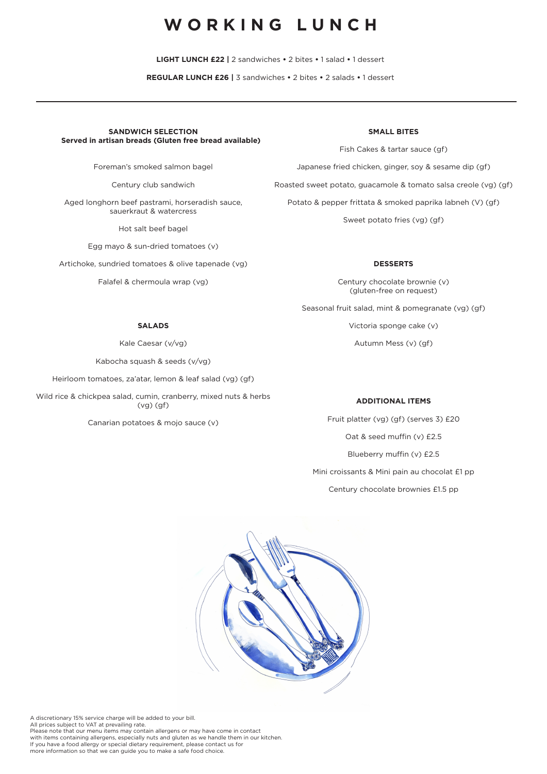# WORKING LUNCH

**LIGHT LUNCH £22 |** 2 sandwiches **•** 2 bites **•** 1 salad **•** 1 dessert

**REGULAR LUNCH £26 |** 3 sandwiches **•** 2 bites **•** 2 salads **•** 1 dessert

## **SANDWICH SELECTION Served in artisan breads (Gluten free bread available)**

Foreman's smoked salmon bagel

Century club sandwich

Aged longhorn beef pastrami, horseradish sauce, sauerkraut & watercress

Hot salt beef bagel

Egg mayo & sun-dried tomatoes (v)

Artichoke, sundried tomatoes & olive tapenade (vg)

Falafel & chermoula wrap (vg)

## **SMALL BITES**

Fish Cakes & tartar sauce (gf) Japanese fried chicken, ginger, soy & sesame dip (gf) Roasted sweet potato, guacamole & tomato salsa creole (vg) (gf) Potato & pepper frittata & smoked paprika labneh (V) (gf) Sweet potato fries (vg) (gf)

### **DESSERTS**

Century chocolate brownie (v) (gluten-free on request)

Seasonal fruit salad, mint & pomegranate (vg) (gf)

Victoria sponge cake (v)

Autumn Mess (v) (gf)

# **ADDITIONAL ITEMS**

Fruit platter (vg) (gf) (serves 3) £20 Oat & seed muffin (v) £2.5 Blueberry muffin (v) £2.5 Mini croissants & Mini pain au chocolat £1 pp Century chocolate brownies £1.5 pp



A discretionary 15% service charge will be added to your bill. All prices subject to VAT at prevailing rate. Please note that our menu items may contain allergens or may have come in contact with items containing allergens, especially nuts and gluten as we handle them in our kitchen. If you have a food allergy or special dietary requirement, please contact us for more information so that we can guide you to make a safe food choice.

# **SALADS**

Kale Caesar (v/vg)

Kabocha squash & seeds (v/vg)

Heirloom tomatoes, za'atar, lemon & leaf salad (vg) (gf)

Wild rice & chickpea salad, cumin, cranberry, mixed nuts & herbs (vg) (gf)

Canarian potatoes & mojo sauce (v)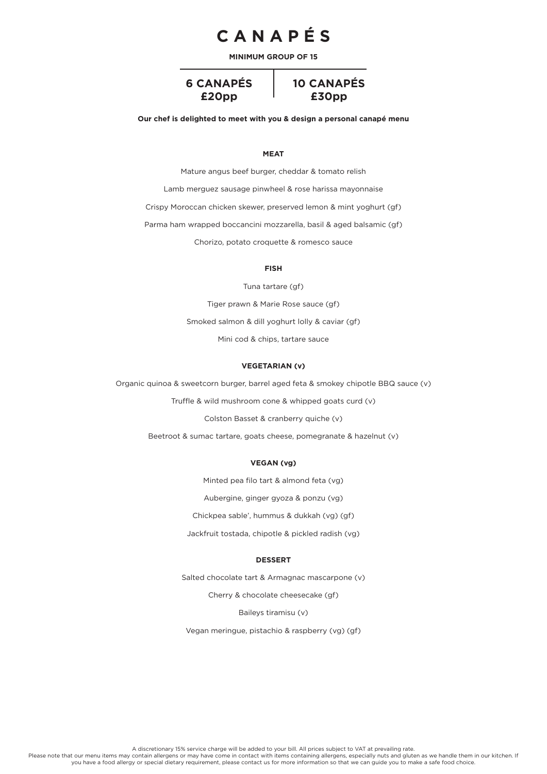# **C A N A P É S**

**MINIMUM GROUP OF 15**

**6 CANAPÉS £20pp**



**Our chef is delighted to meet with you & design a personal canapé menu**

#### **MEAT**

Mature angus beef burger, cheddar & tomato relish

Lamb merguez sausage pinwheel & rose harissa mayonnaise

Crispy Moroccan chicken skewer, preserved lemon & mint yoghurt (gf)

Parma ham wrapped boccancini mozzarella, basil & aged balsamic (gf)

Chorizo, potato croquette & romesco sauce

# **FISH**

Tuna tartare (gf)

Tiger prawn & Marie Rose sauce (gf)

Smoked salmon & dill yoghurt lolly & caviar (gf)

Mini cod & chips, tartare sauce

### **VEGETARIAN (v)**

Organic quinoa & sweetcorn burger, barrel aged feta & smokey chipotle BBQ sauce (v)

Truffle & wild mushroom cone & whipped goats curd (v)

Colston Basset & cranberry quiche (v)

Beetroot & sumac tartare, goats cheese, pomegranate & hazelnut (v)

### **VEGAN (vg)**

Minted pea filo tart & almond feta (vg)

Aubergine, ginger gyoza & ponzu (vg)

Chickpea sable', hummus & dukkah (vg) (gf)

Jackfruit tostada, chipotle & pickled radish (vg)

#### **DESSERT**

Salted chocolate tart & Armagnac mascarpone (v)

Cherry & chocolate cheesecake (gf)

Baileys tiramisu (v)

Vegan meringue, pistachio & raspberry (vg) (gf)

A discretionary 15% service charge will be added to your bill. All prices subject to VAT at prevailing rate.<br>Please note that our menu items may contain allergens or may have come in contact with items containing allergens you have a food allergy or special dietary requirement, please contact us for more information so that we can guide you to make a safe food choice.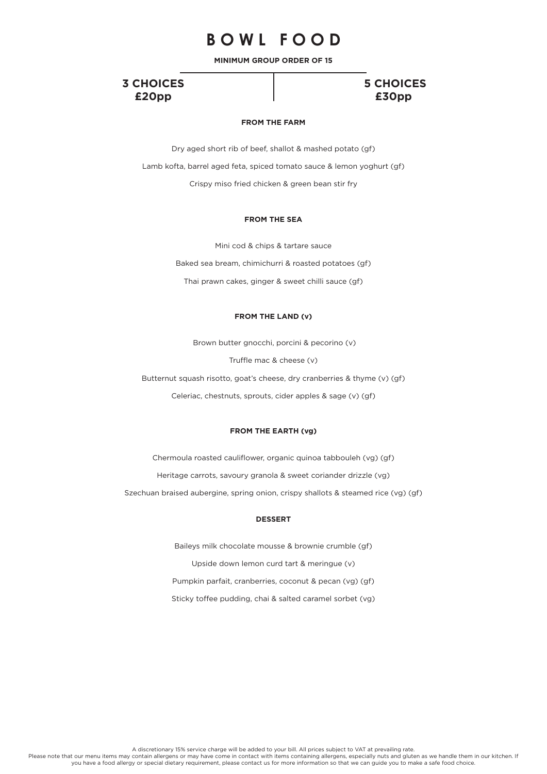# **B O W L F O O D**

**MINIMUM GROUP ORDER OF 15**

# **3 CHOICES £20pp**

# **5 CHOICES £30pp**

# **FROM THE FARM**

Dry aged short rib of beef, shallot & mashed potato (gf) Lamb kofta, barrel aged feta, spiced tomato sauce & lemon yoghurt (gf) Crispy miso fried chicken & green bean stir fry

#### **FROM THE SEA**

Mini cod & chips & tartare sauce Baked sea bream, chimichurri & roasted potatoes (gf) Thai prawn cakes, ginger & sweet chilli sauce (gf)

### **FROM THE LAND (v)**

Brown butter gnocchi, porcini & pecorino (v)

Truffle mac & cheese (v)

Butternut squash risotto, goat's cheese, dry cranberries & thyme (v) (gf) Celeriac, chestnuts, sprouts, cider apples & sage (v) (gf)

## **FROM THE EARTH (vg)**

Chermoula roasted cauliflower, organic quinoa tabbouleh (vg) (gf) Heritage carrots, savoury granola & sweet coriander drizzle (vg) Szechuan braised aubergine, spring onion, crispy shallots & steamed rice (vg) (gf)

# **DESSERT**

Baileys milk chocolate mousse & brownie crumble (gf) Upside down lemon curd tart & meringue (v) Pumpkin parfait, cranberries, coconut & pecan (vg) (gf) Sticky toffee pudding, chai & salted caramel sorbet (vg)

A discretionary 15% service charge will be added to your bill. All prices subject to VAT at prevailing rate.

Please note that our menu items may contain allergens or may have come in contact with items containing allergens, especially nuts and gluten as we handle them in our kitchen. If you have a food allergy or special dietary requirement, please contact us for more information so that we can guide you to make a safe food choice.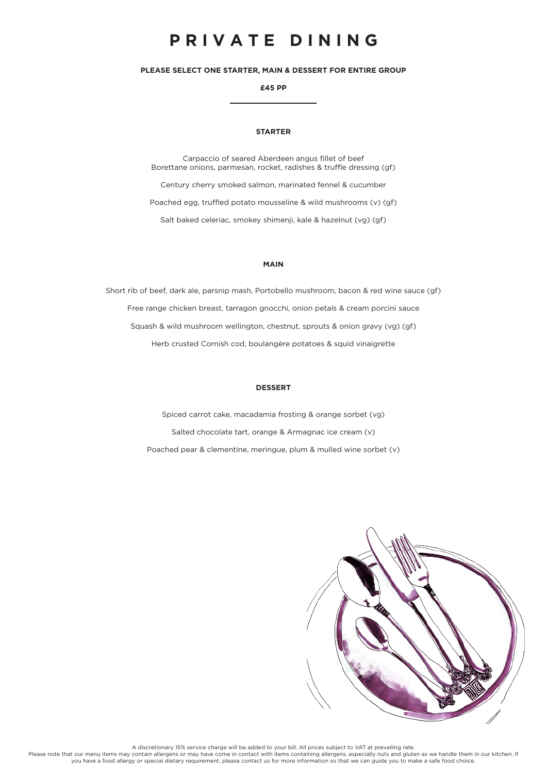# **P R I V A T E D I N I N G**

**PLEASE SELECT ONE STARTER, MAIN & DESSERT FOR ENTIRE GROUP** 

**£45 PP**

# **STARTER**

Carpaccio of seared Aberdeen angus fillet of beef Borettane onions, parmesan, rocket, radishes & truffle dressing (gf) Century cherry smoked salmon, marinated fennel & cucumber

Poached egg, truffled potato mousseline & wild mushrooms (v) (gf)

Salt baked celeriac, smokey shimenji, kale & hazelnut (vg) (gf)

## **MAIN**

Short rib of beef, dark ale, parsnip mash, Portobello mushroom, bacon & red wine sauce (gf) Free range chicken breast, tarragon gnocchi, onion petals & cream porcini sauce Squash & wild mushroom wellington, chestnut, sprouts & onion gravy (vg) (gf) Herb crusted Cornish cod, boulangère potatoes & squid vinaigrette

# **DESSERT**

Spiced carrot cake, macadamia frosting & orange sorbet (vg) Salted chocolate tart, orange & Armagnac ice cream (v) Poached pear & clementine, meringue, plum & mulled wine sorbet (v)



A discretionary 15% service charge will be added to your bill. All prices subject to VAT at prevailing rate.<br>Please note that our menu items may contain allergens or may have come in contact with items containing allergens you have a food allergy or special dietary requirement, please contact us for more information so that we can guide you to make a safe food choice.